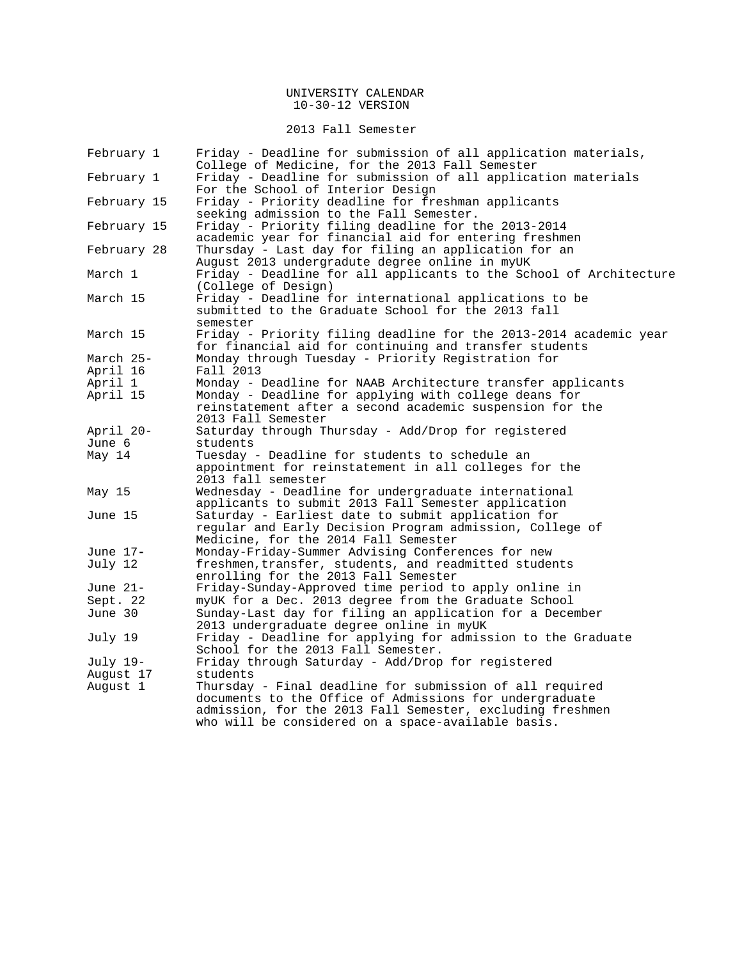#### UNIVERSITY CALENDAR 10-30-12 VERSION

2013 Fall Semester

| February 1  | Friday - Deadline for submission of all application materials,<br>College of Medicine, for the 2013 Fall Semester |  |  |  |  |  |  |
|-------------|-------------------------------------------------------------------------------------------------------------------|--|--|--|--|--|--|
| February 1  | Friday - Deadline for submission of all application materials<br>For the School of Interior Design                |  |  |  |  |  |  |
| February 15 | Friday - Priority deadline for freshman applicants                                                                |  |  |  |  |  |  |
|             | seeking admission to the Fall Semester.                                                                           |  |  |  |  |  |  |
| February 15 | Friday - Priority filing deadline for the 2013-2014                                                               |  |  |  |  |  |  |
|             | academic year for financial aid for entering freshmen                                                             |  |  |  |  |  |  |
| February 28 | Thursday - Last day for filing an application for an                                                              |  |  |  |  |  |  |
|             | August 2013 undergradute degree online in myUK                                                                    |  |  |  |  |  |  |
| March 1     | Friday - Deadline for all applicants to the School of Architecture<br>(College of Design)                         |  |  |  |  |  |  |
| March 15    | Friday - Deadline for international applications to be                                                            |  |  |  |  |  |  |
|             | submitted to the Graduate School for the 2013 fall<br>semester                                                    |  |  |  |  |  |  |
| March 15    | Friday - Priority filing deadline for the 2013-2014 academic year                                                 |  |  |  |  |  |  |
|             | for financial aid for continuing and transfer students                                                            |  |  |  |  |  |  |
| March 25-   | Monday through Tuesday - Priority Registration for                                                                |  |  |  |  |  |  |
| April 16    | Fall 2013                                                                                                         |  |  |  |  |  |  |
| April 1     | Monday - Deadline for NAAB Architecture transfer applicants                                                       |  |  |  |  |  |  |
| April 15    | Monday - Deadline for applying with college deans for                                                             |  |  |  |  |  |  |
|             | reinstatement after a second academic suspension for the                                                          |  |  |  |  |  |  |
|             | 2013 Fall Semester                                                                                                |  |  |  |  |  |  |
| April 20-   | Saturday through Thursday - Add/Drop for registered                                                               |  |  |  |  |  |  |
| June 6      | students                                                                                                          |  |  |  |  |  |  |
| May 14      | Tuesday - Deadline for students to schedule an                                                                    |  |  |  |  |  |  |
|             | appointment for reinstatement in all colleges for the<br>2013 fall semester                                       |  |  |  |  |  |  |
| May 15      | Wednesday - Deadline for undergraduate international                                                              |  |  |  |  |  |  |
|             | applicants to submit 2013 Fall Semester application                                                               |  |  |  |  |  |  |
| June 15     | Saturday - Earliest date to submit application for                                                                |  |  |  |  |  |  |
|             | regular and Early Decision Program admission, College of<br>Medicine, for the 2014 Fall Semester                  |  |  |  |  |  |  |
| June 17-    | Monday-Friday-Summer Advising Conferences for new                                                                 |  |  |  |  |  |  |
| July 12     | freshmen, transfer, students, and readmitted students                                                             |  |  |  |  |  |  |
|             | enrolling for the 2013 Fall Semester                                                                              |  |  |  |  |  |  |
| June 21-    | Friday-Sunday-Approved time period to apply online in                                                             |  |  |  |  |  |  |
| Sept. 22    | myUK for a Dec. 2013 degree from the Graduate School                                                              |  |  |  |  |  |  |
| June 30     | Sunday-Last day for filing an application for a December<br>2013 undergraduate degree online in myUK              |  |  |  |  |  |  |
| July 19     | Friday - Deadline for applying for admission to the Graduate<br>School for the 2013 Fall Semester.                |  |  |  |  |  |  |
| July 19-    | Friday through Saturday - Add/Drop for registered                                                                 |  |  |  |  |  |  |
| August 17   | students                                                                                                          |  |  |  |  |  |  |
| August 1    | Thursday - Final deadline for submission of all required                                                          |  |  |  |  |  |  |
|             | documents to the Office of Admissions for undergraduate                                                           |  |  |  |  |  |  |
|             | admission, for the 2013 Fall Semester, excluding freshmen                                                         |  |  |  |  |  |  |
|             | who will be considered on a space-available basis.                                                                |  |  |  |  |  |  |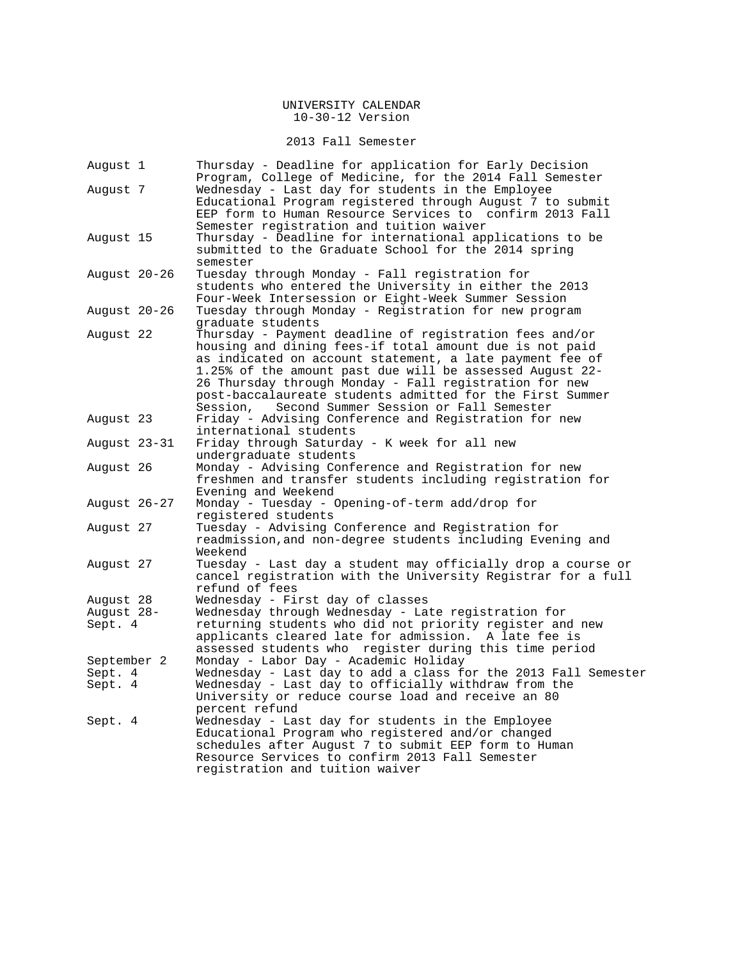2013 Fall Semester

| August 1     | Thursday - Deadline for application for Early Decision<br>Program, College of Medicine, for the 2014 Fall Semester                                                                                                                                                                                                                                                                                                      |
|--------------|-------------------------------------------------------------------------------------------------------------------------------------------------------------------------------------------------------------------------------------------------------------------------------------------------------------------------------------------------------------------------------------------------------------------------|
| August 7     | Wednesday - Last day for students in the Employee<br>Educational Program registered through August 7 to submit<br>EEP form to Human Resource Services to confirm 2013 Fall                                                                                                                                                                                                                                              |
| August 15    | Semester registration and tuition waiver<br>Thursday - Deadline for international applications to be<br>submitted to the Graduate School for the 2014 spring<br>semester                                                                                                                                                                                                                                                |
| August 20-26 | Tuesday through Monday - Fall registration for<br>students who entered the University in either the 2013<br>Four-Week Intersession or Eight-Week Summer Session                                                                                                                                                                                                                                                         |
| August 20-26 | Tuesday through Monday - Registration for new program<br>graduate students                                                                                                                                                                                                                                                                                                                                              |
| August 22    | Thursday - Payment deadline of registration fees and/or<br>housing and dining fees-if total amount due is not paid<br>as indicated on account statement, a late payment fee of<br>1.25% of the amount past due will be assessed August 22-<br>26 Thursday through Monday - Fall registration for new<br>post-baccalaureate students admitted for the First Summer<br>Second Summer Session or Fall Semester<br>Session, |
| August 23    | Friday - Advising Conference and Registration for new<br>international students                                                                                                                                                                                                                                                                                                                                         |
| August 23-31 | Friday through Saturday - K week for all new<br>undergraduate students                                                                                                                                                                                                                                                                                                                                                  |
| August 26    | Monday - Advising Conference and Registration for new<br>freshmen and transfer students including registration for<br>Evening and Weekend                                                                                                                                                                                                                                                                               |
| August 26-27 | Monday - Tuesday - Opening-of-term add/drop for<br>registered students                                                                                                                                                                                                                                                                                                                                                  |
| August 27    | Tuesday - Advising Conference and Registration for<br>readmission, and non-degree students including Evening and<br>Weekend                                                                                                                                                                                                                                                                                             |
| August 27    | Tuesday - Last day a student may officially drop a course or<br>cancel registration with the University Registrar for a full<br>refund of fees                                                                                                                                                                                                                                                                          |
| August 28    | Wednesday - First day of classes                                                                                                                                                                                                                                                                                                                                                                                        |
| August 28-   | Wednesday through Wednesday - Late registration for                                                                                                                                                                                                                                                                                                                                                                     |
| Sept. 4      | returning students who did not priority register and new<br>applicants cleared late for admission. A late fee is<br>assessed students who register during this time period                                                                                                                                                                                                                                              |
| September 2  | Monday - Labor Day - Academic Holiday                                                                                                                                                                                                                                                                                                                                                                                   |
| Sept. 4      | Wednesday - Last day to add a class for the 2013 Fall Semester                                                                                                                                                                                                                                                                                                                                                          |
| Sept. 4      | Wednesday - Last day to officially withdraw from the<br>University or reduce course load and receive an 80<br>percent refund                                                                                                                                                                                                                                                                                            |
| Sept. 4      | Wednesday - Last day for students in the Employee                                                                                                                                                                                                                                                                                                                                                                       |
|              | Educational Program who registered and/or changed                                                                                                                                                                                                                                                                                                                                                                       |
|              | schedules after August 7 to submit EEP form to Human                                                                                                                                                                                                                                                                                                                                                                    |
|              | Resource Services to confirm 2013 Fall Semester<br>registration and tuition waiver                                                                                                                                                                                                                                                                                                                                      |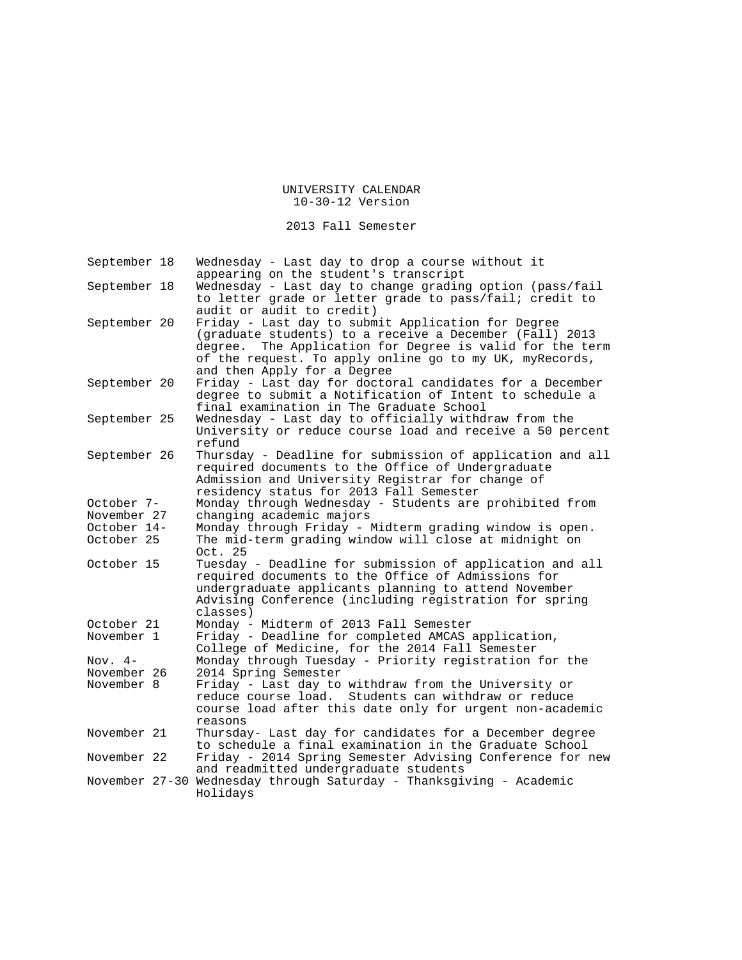# 2013 Fall Semester

| September 18 | Wednesday - Last day to drop a course without it                                                  |  |  |  |  |  |  |
|--------------|---------------------------------------------------------------------------------------------------|--|--|--|--|--|--|
| September 18 | appearing on the student's transcript<br>Wednesday - Last day to change grading option (pass/fail |  |  |  |  |  |  |
|              | to letter grade or letter grade to pass/fail; credit to                                           |  |  |  |  |  |  |
|              |                                                                                                   |  |  |  |  |  |  |
|              | audit or audit to credit)                                                                         |  |  |  |  |  |  |
| September 20 | Friday - Last day to submit Application for Degree                                                |  |  |  |  |  |  |
|              | (graduate students) to a receive a December (Fall) 2013                                           |  |  |  |  |  |  |
|              | The Application for Degree is valid for the term<br>degree.                                       |  |  |  |  |  |  |
|              | of the request. To apply online go to my UK, myRecords,                                           |  |  |  |  |  |  |
|              | and then Apply for a Degree                                                                       |  |  |  |  |  |  |
| September 20 | Friday - Last day for doctoral candidates for a December                                          |  |  |  |  |  |  |
|              | degree to submit a Notification of Intent to schedule a                                           |  |  |  |  |  |  |
|              | final examination in The Graduate School                                                          |  |  |  |  |  |  |
| September 25 | Wednesday - Last day to officially withdraw from the                                              |  |  |  |  |  |  |
|              | University or reduce course load and receive a 50 percent                                         |  |  |  |  |  |  |
|              | refund                                                                                            |  |  |  |  |  |  |
| September 26 | Thursday - Deadline for submission of application and all                                         |  |  |  |  |  |  |
|              | required documents to the Office of Undergraduate                                                 |  |  |  |  |  |  |
|              | Admission and University Registrar for change of                                                  |  |  |  |  |  |  |
|              | residency status for 2013 Fall Semester                                                           |  |  |  |  |  |  |
| October 7-   | Monday through Wednesday - Students are prohibited from                                           |  |  |  |  |  |  |
| November 27  | changing academic majors                                                                          |  |  |  |  |  |  |
| October 14-  | Monday through Friday - Midterm grading window is open.                                           |  |  |  |  |  |  |
| October 25   | The mid-term grading window will close at midnight on<br>Oct. 25                                  |  |  |  |  |  |  |
| October 15   | Tuesday - Deadline for submission of application and all                                          |  |  |  |  |  |  |
|              | required documents to the Office of Admissions for                                                |  |  |  |  |  |  |
|              | undergraduate applicants planning to attend November                                              |  |  |  |  |  |  |
|              | Advising Conference (including registration for spring                                            |  |  |  |  |  |  |
|              | classes)                                                                                          |  |  |  |  |  |  |
| October 21   | Monday - Midterm of 2013 Fall Semester                                                            |  |  |  |  |  |  |
| November 1   | Friday - Deadline for completed AMCAS application,                                                |  |  |  |  |  |  |
|              | College of Medicine, for the 2014 Fall Semester                                                   |  |  |  |  |  |  |
| Nov. $4-$    | Monday through Tuesday - Priority registration for the                                            |  |  |  |  |  |  |
| November 26  | 2014 Spring Semester                                                                              |  |  |  |  |  |  |
| November 8   | Friday - Last day to withdraw from the University or                                              |  |  |  |  |  |  |
|              | reduce course load. Students can withdraw or reduce                                               |  |  |  |  |  |  |
|              | course load after this date only for urgent non-academic                                          |  |  |  |  |  |  |
|              | reasons                                                                                           |  |  |  |  |  |  |
| November 21  | Thursday- Last day for candidates for a December degree                                           |  |  |  |  |  |  |
|              | to schedule a final examination in the Graduate School                                            |  |  |  |  |  |  |
| November 22  | Friday - 2014 Spring Semester Advising Conference for new                                         |  |  |  |  |  |  |
|              | and readmitted undergraduate students                                                             |  |  |  |  |  |  |
|              | November 27-30 Wednesday through Saturday - Thanksgiving - Academic                               |  |  |  |  |  |  |
|              | Holidays                                                                                          |  |  |  |  |  |  |
|              |                                                                                                   |  |  |  |  |  |  |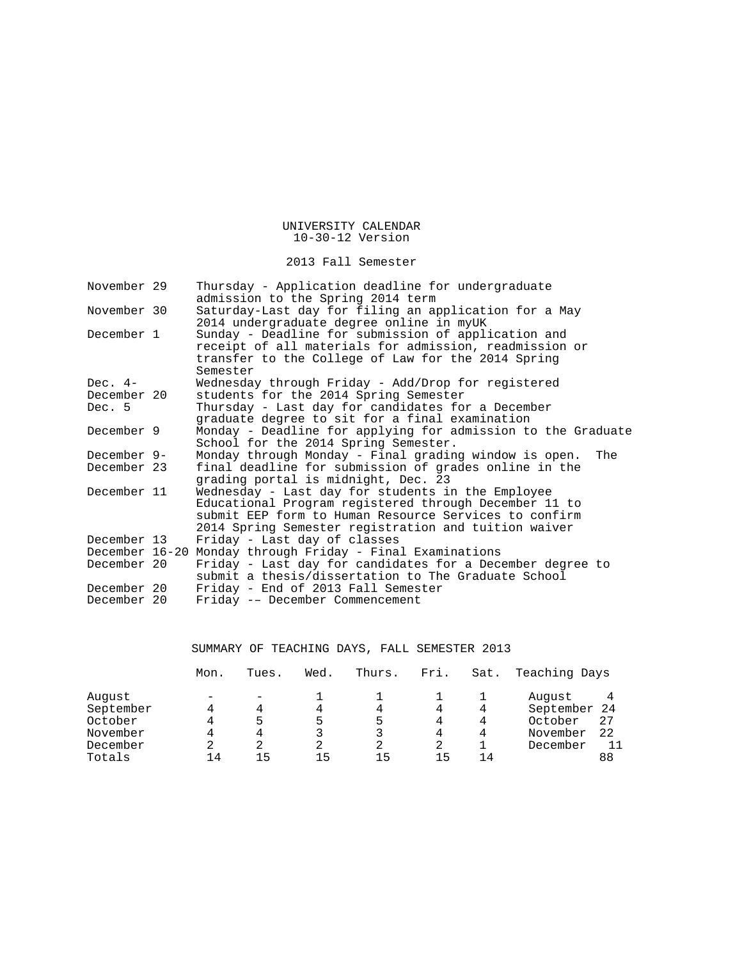2013 Fall Semester

| November 29    | Thursday - Application deadline for undergraduate                                                                                                                               |
|----------------|---------------------------------------------------------------------------------------------------------------------------------------------------------------------------------|
|                | admission to the Spring 2014 term                                                                                                                                               |
| November 30    | Saturday-Last day for filing an application for a May<br>2014 undergraduate degree online in myUK                                                                               |
| December 1     | Sunday - Deadline for submission of application and<br>receipt of all materials for admission, readmission or<br>transfer to the College of Law for the 2014 Spring<br>Semester |
| Dec. $4-$      | Wednesday through Friday - Add/Drop for registered                                                                                                                              |
| December 20    | students for the 2014 Spring Semester                                                                                                                                           |
| Dec. 5         | Thursday - Last day for candidates for a December                                                                                                                               |
|                | graduate degree to sit for a final examination                                                                                                                                  |
| December 9     | Monday - Deadline for applying for admission to the Graduate<br>School for the 2014 Spring Semester.                                                                            |
| December 9-    | Monday through Monday - Final grading window is open.<br>The                                                                                                                    |
| December 23    | final deadline for submission of grades online in the<br>grading portal is midnight, Dec. 23                                                                                    |
| December 11    | Wednesday - Last day for students in the Employee                                                                                                                               |
|                | Educational Program registered through December 11 to                                                                                                                           |
|                | submit EEP form to Human Resource Services to confirm                                                                                                                           |
|                | 2014 Spring Semester registration and tuition waiver                                                                                                                            |
| December 13    | Friday - Last day of classes                                                                                                                                                    |
| December 16-20 | Monday through Friday - Final Examinations                                                                                                                                      |
| December 20    | Friday - Last day for candidates for a December degree to                                                                                                                       |
|                | submit a thesis/dissertation to The Graduate School                                                                                                                             |
| December 20    | Friday - End of 2013 Fall Semester                                                                                                                                              |
| December 20    | Friday -- December Commencement                                                                                                                                                 |

SUMMARY OF TEACHING DAYS, FALL SEMESTER 2013

|                    | Mon. | Tues. | Wed.    | Thurs. | Fri. | Sat. | Teaching Days |    |  |
|--------------------|------|-------|---------|--------|------|------|---------------|----|--|
| August             |      |       |         |        |      |      | August        |    |  |
| September          |      |       | 4       |        |      |      | September 24  |    |  |
| October            |      | 5     | 5       |        |      | 4    | October       | 27 |  |
| November           |      |       |         |        |      | 4    | November      | 22 |  |
| December<br>Totals | 14   | 15    | 2<br>15 | 15     | 15   | 14   | December      | 88 |  |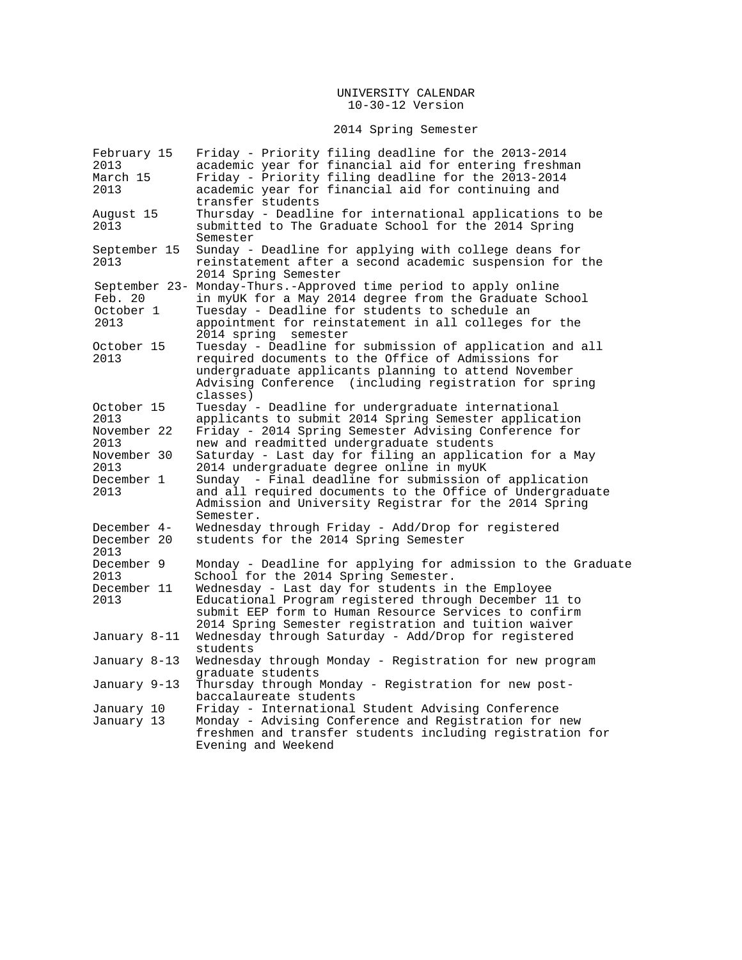### 2014 Spring Semester

| February 15  | Friday - Priority filing deadline for the 2013-2014              |
|--------------|------------------------------------------------------------------|
| 2013         | academic year for financial aid for entering freshman            |
| March 15     | Friday - Priority filing deadline for the 2013-2014              |
| 2013         | academic year for financial aid for continuing and               |
|              | transfer students                                                |
| August 15    | Thursday - Deadline for international applications to be         |
| 2013         | submitted to The Graduate School for the 2014 Spring             |
|              | Semester                                                         |
| September 15 | Sunday - Deadline for applying with college deans for            |
| 2013         | reinstatement after a second academic suspension for the         |
|              | 2014 Spring Semester                                             |
|              | September 23- Monday-Thurs.-Approved time period to apply online |
| Feb. 20      | in myUK for a May 2014 degree from the Graduate School           |
|              |                                                                  |
| October 1    | Tuesday - Deadline for students to schedule an                   |
| 2013         | appointment for reinstatement in all colleges for the            |
|              | 2014 spring semester                                             |
| October 15   | Tuesday - Deadline for submission of application and all         |
| 2013         | required documents to the Office of Admissions for               |
|              | undergraduate applicants planning to attend November             |
|              | Advising Conference (including registration for spring           |
|              | classes)                                                         |
| October 15   | Tuesday - Deadline for undergraduate international               |
| 2013         | applicants to submit 2014 Spring Semester application            |
| November 22  | Friday - 2014 Spring Semester Advising Conference for            |
| 2013         | new and readmitted undergraduate students                        |
| November 30  | Saturday - Last day for filing an application for a May          |
| 2013         | 2014 undergraduate degree online in myUK                         |
| December 1   | Sunday - Final deadline for submission of application            |
| 2013         | and all required documents to the Office of Undergraduate        |
|              | Admission and University Registrar for the 2014 Spring           |
|              | Semester.                                                        |
| December 4-  | Wednesday through Friday - Add/Drop for registered               |
| December 20  | students for the 2014 Spring Semester                            |
| 2013         |                                                                  |
| December 9   | Monday - Deadline for applying for admission to the Graduate     |
| 2013         | School for the 2014 Spring Semester.                             |
| December 11  | Wednesday - Last day for students in the Employee                |
| 2013         | Educational Program registered through December 11 to            |
|              | submit EEP form to Human Resource Services to confirm            |
|              | 2014 Spring Semester registration and tuition waiver             |
| January 8-11 | Wednesday through Saturday - Add/Drop for registered             |
|              | students                                                         |
| January 8-13 | Wednesday through Monday - Registration for new program          |
|              | graduate students                                                |
|              |                                                                  |
| January 9-13 | Thursday through Monday - Registration for new post-             |
|              | baccalaureate students                                           |
| January 10   | Friday - International Student Advising Conference               |
| January 13   | Monday - Advising Conference and Registration for new            |
|              | freshmen and transfer students including registration for        |
|              | Evening and Weekend                                              |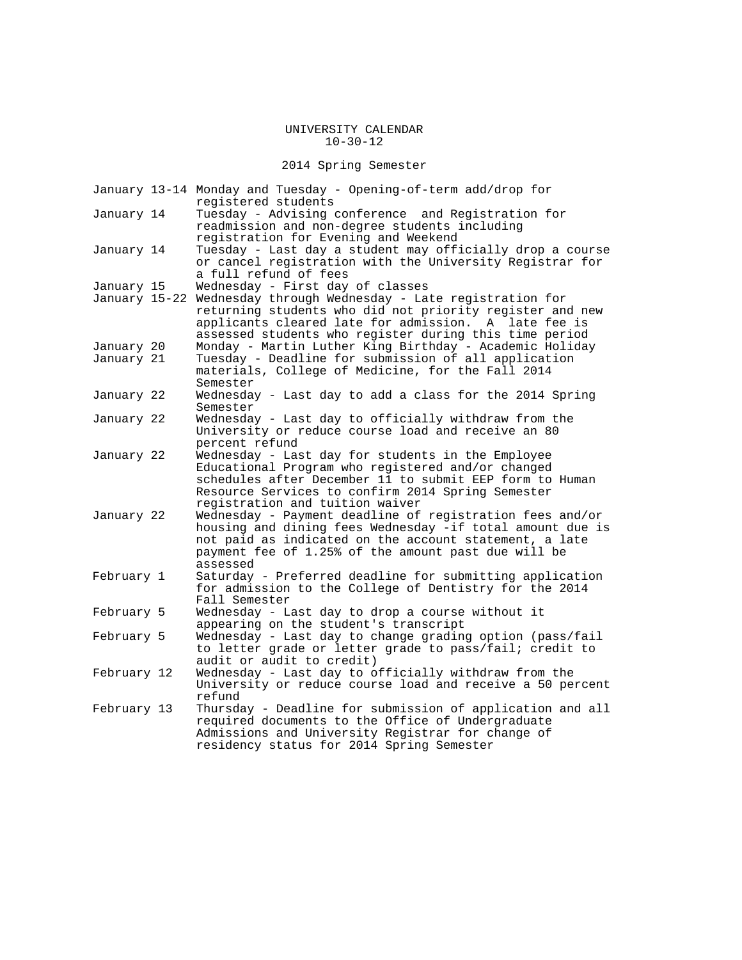#### UNIVERSITY CALENDAR 10-30-12

2014 Spring Semester

|                          | January 13-14 Monday and Tuesday - Opening-of-term add/drop for<br>registered students                                                                                                                                                                                                |
|--------------------------|---------------------------------------------------------------------------------------------------------------------------------------------------------------------------------------------------------------------------------------------------------------------------------------|
| January 14               | Tuesday - Advising conference and Registration for<br>readmission and non-degree students including                                                                                                                                                                                   |
| January 14               | registration for Evening and Weekend<br>Tuesday - Last day a student may officially drop a course<br>or cancel registration with the University Registrar for<br>a full refund of fees                                                                                                |
| January 15               | Wednesday - First day of classes                                                                                                                                                                                                                                                      |
| January 15-22            | Wednesday through Wednesday - Late registration for<br>returning students who did not priority register and new<br>applicants cleared late for admission. A late fee is<br>assessed students who register during this time period                                                     |
| January 20<br>January 21 | Monday - Martin Luther King Birthday - Academic Holiday<br>Tuesday - Deadline for submission of all application<br>materials, College of Medicine, for the Fall 2014<br>Semester                                                                                                      |
| January 22               | Wednesday - Last day to add a class for the 2014 Spring<br>Semester                                                                                                                                                                                                                   |
| January 22               | Wednesday - Last day to officially withdraw from the<br>University or reduce course load and receive an 80<br>percent refund                                                                                                                                                          |
| January 22               | Wednesday - Last day for students in the Employee<br>Educational Program who registered and/or changed<br>schedules after December 11 to submit EEP form to Human<br>Resource Services to confirm 2014 Spring Semester                                                                |
| January 22               | registration and tuition waiver<br>Wednesday - Payment deadline of registration fees and/or<br>housing and dining fees Wednesday -if total amount due is<br>not paid as indicated on the account statement, a late<br>payment fee of 1.25% of the amount past due will be<br>assessed |
| February 1               | Saturday - Preferred deadline for submitting application<br>for admission to the College of Dentistry for the 2014<br>Fall Semester                                                                                                                                                   |
| February 5               | Wednesday - Last day to drop a course without it<br>appearing on the student's transcript                                                                                                                                                                                             |
| February 5               | Wednesday - Last day to change grading option (pass/fail<br>to letter grade or letter grade to pass/fail; credit to<br>audit or audit to credit)                                                                                                                                      |
| February 12              | Wednesday - Last day to officially withdraw from the<br>University or reduce course load and receive a 50 percent<br>refund                                                                                                                                                           |
| February 13              | Thursday - Deadline for submission of application and all<br>required documents to the Office of Undergraduate<br>Admissions and University Registrar for change of<br>residency status for 2014 Spring Semester                                                                      |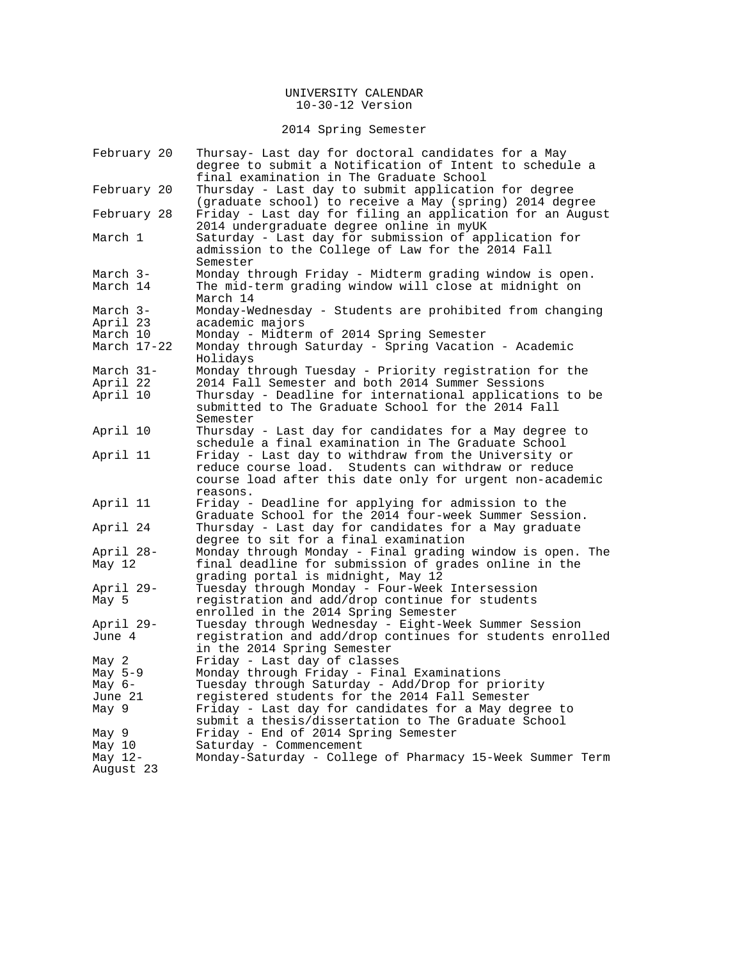2014 Spring Semester

| February 20            | Thursay- Last day for doctoral candidates for a May                                                           |
|------------------------|---------------------------------------------------------------------------------------------------------------|
|                        | degree to submit a Notification of Intent to schedule a                                                       |
|                        | final examination in The Graduate School                                                                      |
| February 20            | Thursday - Last day to submit application for degree                                                          |
|                        | (graduate school) to receive a May (spring) 2014 degree                                                       |
| February 28            | Friday - Last day for filing an application for an August                                                     |
|                        | 2014 undergraduate degree online in myUK                                                                      |
| March 1                | Saturday - Last day for submission of application for                                                         |
|                        | admission to the College of Law for the 2014 Fall                                                             |
|                        | Semester                                                                                                      |
| March 3-<br>March 14   | Monday through Friday - Midterm grading window is open.                                                       |
|                        | The mid-term grading window will close at midnight on<br>March 14                                             |
| March 3-               | Monday-Wednesday - Students are prohibited from changing                                                      |
| April 23               | academic majors                                                                                               |
| March 10               | Monday - Midterm of 2014 Spring Semester                                                                      |
| March 17-22            | Monday through Saturday - Spring Vacation - Academic                                                          |
|                        | Holidays                                                                                                      |
| March 31-              | Monday through Tuesday - Priority registration for the                                                        |
| April 22               | 2014 Fall Semester and both 2014 Summer Sessions                                                              |
| April 10               | Thursday - Deadline for international applications to be                                                      |
|                        | submitted to The Graduate School for the 2014 Fall                                                            |
|                        | Semester                                                                                                      |
| April 10               | Thursday - Last day for candidates for a May degree to                                                        |
|                        | schedule a final examination in The Graduate School                                                           |
| April 11               | Friday - Last day to withdraw from the University or                                                          |
|                        | reduce course load. Students can withdraw or reduce                                                           |
|                        | course load after this date only for urgent non-academic                                                      |
|                        | reasons.                                                                                                      |
| April 11               | Friday - Deadline for applying for admission to the<br>Graduate School for the 2014 four-week Summer Session. |
| April 24               | Thursday - Last day for candidates for a May graduate                                                         |
|                        | degree to sit for a final examination                                                                         |
| April 28-              | Monday through Monday - Final grading window is open. The                                                     |
| May 12                 | final deadline for submission of grades online in the                                                         |
|                        | grading portal is midnight, May 12                                                                            |
| April 29-              | Tuesday through Monday - Four-Week Intersession                                                               |
| May 5                  | registration and add/drop continue for students                                                               |
|                        | enrolled in the 2014 Spring Semester                                                                          |
| April 29-              | Tuesday through Wednesday - Eight-Week Summer Session                                                         |
| June 4                 | registration and add/drop continues for students enrolled                                                     |
|                        | in the 2014 Spring Semester                                                                                   |
| May 2                  | Friday - Last day of classes                                                                                  |
| May 5-9                | Monday through Friday - Final Examinations                                                                    |
| May $6-$               | Tuesday through Saturday - Add/Drop for priority                                                              |
| June 21                | registered students for the 2014 Fall Semester                                                                |
| May 9                  | Friday - Last day for candidates for a May degree to                                                          |
|                        | submit a thesis/dissertation to The Graduate School                                                           |
| May 9                  | Friday - End of 2014 Spring Semester                                                                          |
| May 10                 | Saturday - Commencement                                                                                       |
| May $12-$<br>August 23 | Monday-Saturday - College of Pharmacy 15-Week Summer Term                                                     |
|                        |                                                                                                               |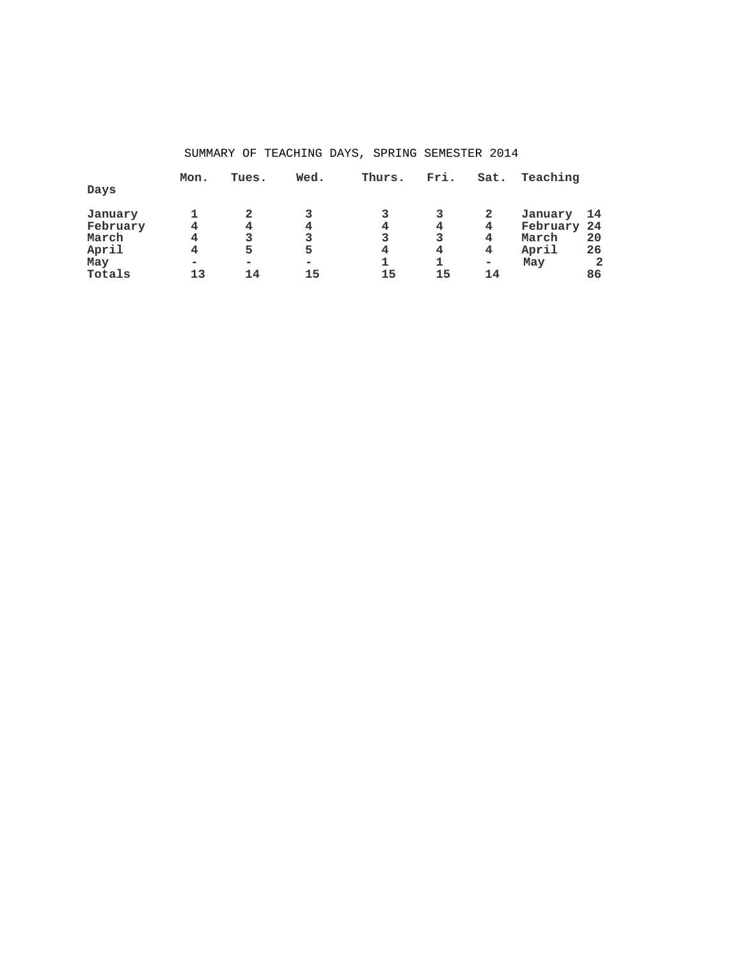|          | Mon. | Tues.                    | Wed. | Thurs. | Fri. | Sat.                     | Teaching |                |
|----------|------|--------------------------|------|--------|------|--------------------------|----------|----------------|
| Days     |      |                          |      |        |      |                          |          |                |
| January  |      | 2                        | 3    |        |      | 2                        | January  | 14             |
| February | 4    | 4                        | 4    | 4      | 4    | 4                        | February | 24             |
| March    | 4    | 3                        | 3    | 3      | 3    | 4                        | March    | 20             |
| April    | 4    | 5                        | 5    | 4      | 4    | 4                        | April    | 26             |
| May      | -    | $\overline{\phantom{a}}$ | -    |        |      | $\overline{\phantom{0}}$ | May      | $\overline{2}$ |
| Totals   | 13   | 14                       | 15   | 15     | 15   | 14                       |          | 86             |

# SUMMARY OF TEACHING DAYS, SPRING SEMESTER 2014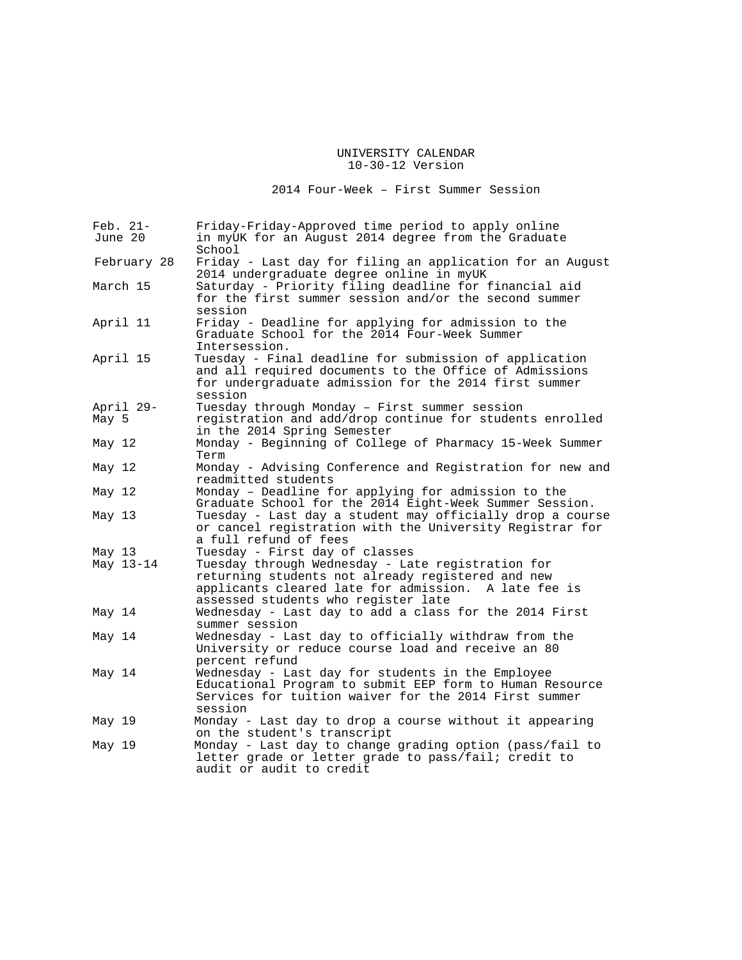2014 Four-Week – First Summer Session

| Feb. 21-<br>June 20 | Friday-Friday-Approved time period to apply online<br>in myUK for an August 2014 degree from the Graduate<br>School                                                                                   |
|---------------------|-------------------------------------------------------------------------------------------------------------------------------------------------------------------------------------------------------|
| February 28         | Friday - Last day for filing an application for an August<br>2014 undergraduate degree online in myUK                                                                                                 |
| March 15            | Saturday - Priority filing deadline for financial aid<br>for the first summer session and/or the second summer<br>session                                                                             |
| April 11            | Friday - Deadline for applying for admission to the<br>Graduate School for the 2014 Four-Week Summer<br>Intersession.                                                                                 |
| April 15            | Tuesday - Final deadline for submission of application<br>and all required documents to the Office of Admissions<br>for undergraduate admission for the 2014 first summer<br>session                  |
| April 29-           | Tuesday through Monday - First summer session                                                                                                                                                         |
| May 5               | registration and add/drop continue for students enrolled<br>in the 2014 Spring Semester                                                                                                               |
| May 12              | Monday - Beginning of College of Pharmacy 15-Week Summer<br>Term                                                                                                                                      |
| May 12              | Monday - Advising Conference and Registration for new and<br>readmitted students                                                                                                                      |
| May 12              | Monday - Deadline for applying for admission to the<br>Graduate School for the 2014 Eight-Week Summer Session.                                                                                        |
| May $13$            | Tuesday - Last day a student may officially drop a course<br>or cancel registration with the University Registrar for<br>a full refund of fees                                                        |
| May <sub>13</sub>   | Tuesday - First day of classes                                                                                                                                                                        |
| May 13-14           | Tuesday through Wednesday - Late registration for<br>returning students not already registered and new<br>applicants cleared late for admission. A late fee is<br>assessed students who register late |
| May 14              | Wednesday - Last day to add a class for the 2014 First<br>summer session                                                                                                                              |
| May 14              | Wednesday - Last day to officially withdraw from the<br>University or reduce course load and receive an 80<br>percent refund                                                                          |
| May 14              | Wednesday - Last day for students in the Employee<br>Educational Program to submit EEP form to Human Resource<br>Services for tuition waiver for the 2014 First summer<br>session                     |
| May 19              | Monday - Last day to drop a course without it appearing<br>on the student's transcript                                                                                                                |
| May 19              | Monday - Last day to change grading option (pass/fail to<br>letter grade or letter grade to pass/fail; credit to<br>audit or audit to credit                                                          |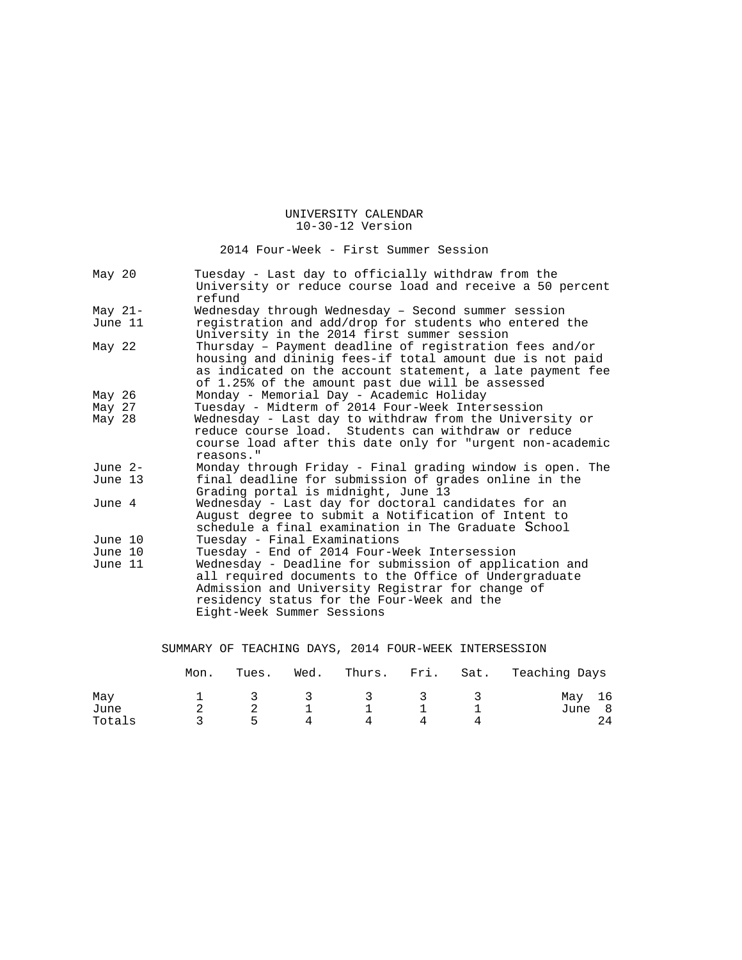2014 Four-Week - First Summer Session

| May 20               | Tuesday - Last day to officially withdraw from the<br>University or reduce course load and receive a 50 percent<br>refund                                                                                                                       |
|----------------------|-------------------------------------------------------------------------------------------------------------------------------------------------------------------------------------------------------------------------------------------------|
| May $21-$<br>June 11 | Wednesday through Wednesday - Second summer session<br>registration and add/drop for students who entered the<br>University in the 2014 first summer session                                                                                    |
| May $22$             | Thursday - Payment deadline of registration fees and/or<br>housing and dininig fees-if total amount due is not paid<br>as indicated on the account statement, a late payment fee<br>of 1.25% of the amount past due will be assessed            |
| May <sub>26</sub>    | Monday - Memorial Day - Academic Holiday                                                                                                                                                                                                        |
| May 27               | Tuesday - Midterm of 2014 Four-Week Intersession                                                                                                                                                                                                |
| May 28               | Wednesday - Last day to withdraw from the University or<br>reduce course load. Students can withdraw or reduce<br>course load after this date only for "urgent non-academic<br>reasons."                                                        |
| June $2-$<br>June 13 | Monday through Friday - Final grading window is open. The<br>final deadline for submission of grades online in the<br>Grading portal is midnight, June 13                                                                                       |
| June 4               | Wednesday - Last day for doctoral candidates for an<br>August degree to submit a Notification of Intent to<br>schedule a final examination in The Graduate School                                                                               |
| June 10              | Tuesday - Final Examinations                                                                                                                                                                                                                    |
| June 10              | Tuesday - End of 2014 Four-Week Intersession                                                                                                                                                                                                    |
| June 11              | Wednesday - Deadline for submission of application and<br>all required documents to the Office of Undergraduate<br>Admission and University Registrar for change of<br>residency status for the Four-Week and the<br>Eight-Week Summer Sessions |
|                      | $0.014$ more remove                                                                                                                                                                                                                             |

SUMMARY OF TEACHING DAYS, 2014 FOUR-WEEK INTERSESSION

|        | Mon. | Tues.         |                         |               |     |   | Wed. Thurs. Fri. Sat. Teaching Days |  |  |
|--------|------|---------------|-------------------------|---------------|-----|---|-------------------------------------|--|--|
| Mav    |      | $\mathcal{R}$ | $\overline{\mathbf{3}}$ | $\mathcal{R}$ | - 3 | ≺ | May 16                              |  |  |
| June   |      |               |                         |               |     |   | June 8                              |  |  |
| Totals |      |               |                         |               |     |   | 24                                  |  |  |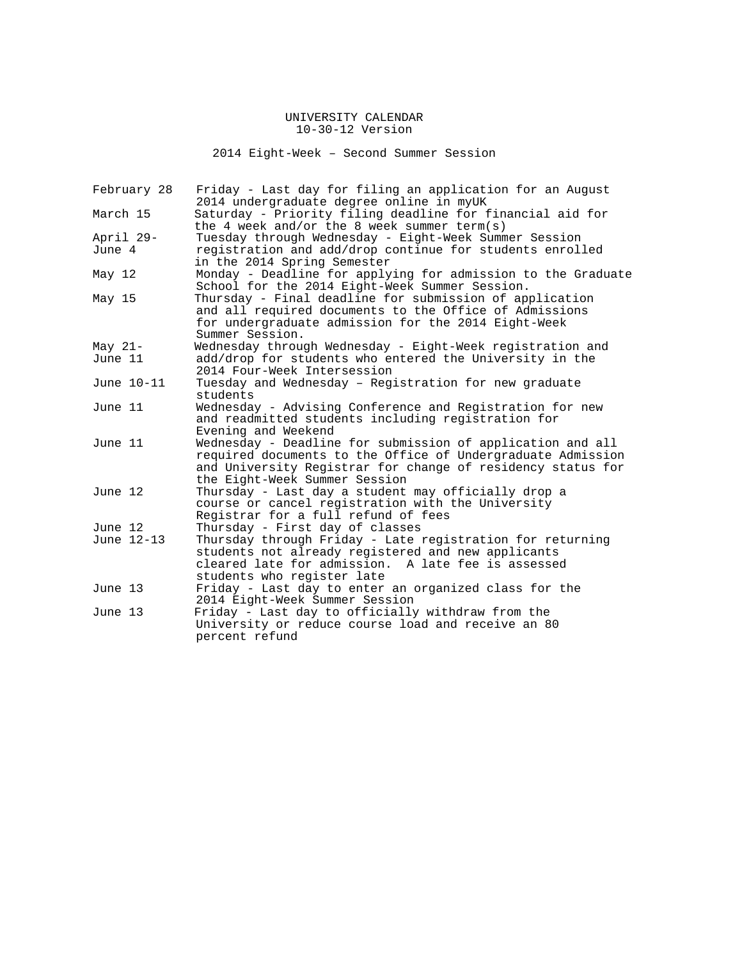2014 Eight-Week – Second Summer Session

|            | February 28 | Friday - Last day for filing an application for an August<br>2014 undergraduate degree online in myUK                                                                                                                     |
|------------|-------------|---------------------------------------------------------------------------------------------------------------------------------------------------------------------------------------------------------------------------|
| March 15   |             | Saturday - Priority filing deadline for financial aid for<br>the 4 week and/or the 8 week summer term(s)                                                                                                                  |
| April 29-  |             | Tuesday through Wednesday - Eight-Week Summer Session                                                                                                                                                                     |
| June 4     |             | registration and add/drop continue for students enrolled<br>in the 2014 Spring Semester                                                                                                                                   |
| May 12     |             | Monday - Deadline for applying for admission to the Graduate<br>School for the 2014 Eight-Week Summer Session.                                                                                                            |
| May 15     |             | Thursday - Final deadline for submission of application<br>and all required documents to the Office of Admissions<br>for undergraduate admission for the 2014 Eight-Week<br>Summer Session.                               |
| May $21-$  |             | Wednesday through Wednesday - Eight-Week registration and                                                                                                                                                                 |
| June 11    |             | add/drop for students who entered the University in the<br>2014 Four-Week Intersession                                                                                                                                    |
| June 10-11 |             | Tuesday and Wednesday - Registration for new graduate<br>students                                                                                                                                                         |
| June 11    |             | Wednesday - Advising Conference and Registration for new<br>and readmitted students including registration for<br>Evening and Weekend                                                                                     |
| June 11    |             | Wednesday - Deadline for submission of application and all<br>required documents to the Office of Undergraduate Admission<br>and University Registrar for change of residency status for<br>the Eight-Week Summer Session |
| June 12    |             | Thursday - Last day a student may officially drop a<br>course or cancel registration with the University<br>Registrar for a full refund of fees                                                                           |
| June 12    |             | Thursday - First day of classes                                                                                                                                                                                           |
| June 12-13 |             | Thursday through Friday - Late registration for returning<br>students not already registered and new applicants<br>cleared late for admission. A late fee is assessed<br>students who register late                       |
| June 13    |             | Friday - Last day to enter an organized class for the<br>2014 Eight-Week Summer Session                                                                                                                                   |
| June 13    |             | Friday - Last day to officially withdraw from the<br>University or reduce course load and receive an 80<br>percent refund                                                                                                 |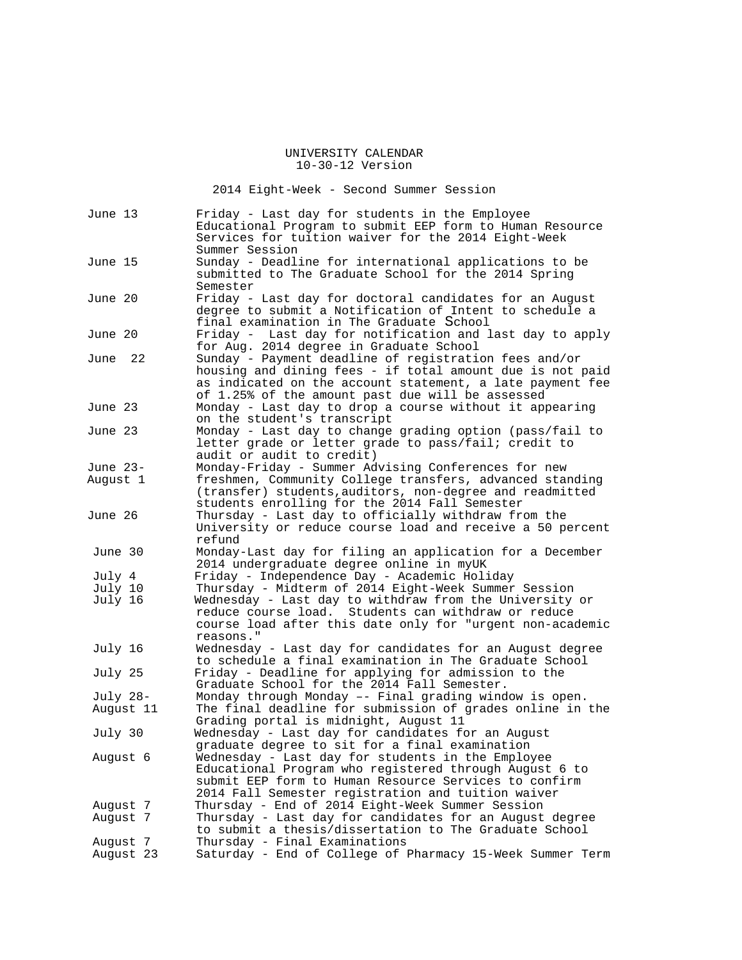2014 Eight-Week - Second Summer Session

| June 13    | Friday - Last day for students in the Employee<br>Educational Program to submit EEP form to Human Resource<br>Services for tuition waiver for the 2014 Eight-Week<br>Summer Session                                                 |
|------------|-------------------------------------------------------------------------------------------------------------------------------------------------------------------------------------------------------------------------------------|
| June 15    | Sunday - Deadline for international applications to be<br>submitted to The Graduate School for the 2014 Spring<br>Semester                                                                                                          |
| June 20    | Friday - Last day for doctoral candidates for an August<br>degree to submit a Notification of Intent to schedule a<br>final examination in The Graduate School                                                                      |
| June 20    | Friday - Last day for notification and last day to apply<br>for Aug. 2014 degree in Graduate School                                                                                                                                 |
| 22<br>June | Sunday - Payment deadline of registration fees and/or<br>housing and dining fees - if total amount due is not paid<br>as indicated on the account statement, a late payment fee<br>of 1.25% of the amount past due will be assessed |
| June 23    | Monday - Last day to drop a course without it appearing<br>on the student's transcript                                                                                                                                              |
| June 23    | Monday - Last day to change grading option (pass/fail to<br>letter grade or letter grade to pass/fail; credit to<br>audit or audit to credit)                                                                                       |
| June 23-   | Monday-Friday - Summer Advising Conferences for new                                                                                                                                                                                 |
| August 1   | freshmen, Community College transfers, advanced standing                                                                                                                                                                            |
|            | (transfer) students, auditors, non-degree and readmitted<br>students enrolling for the 2014 Fall Semester                                                                                                                           |
| June 26    | Thursday - Last day to officially withdraw from the<br>University or reduce course load and receive a 50 percent<br>refund                                                                                                          |
| June 30    | Monday-Last day for filing an application for a December<br>2014 undergraduate degree online in myUK                                                                                                                                |
| July 4     | Friday - Independence Day - Academic Holiday                                                                                                                                                                                        |
| July 10    | Thursday - Midterm of 2014 Eight-Week Summer Session                                                                                                                                                                                |
| July 16    | Wednesday - Last day to withdraw from the University or<br>Students can withdraw or reduce<br>reduce course load.<br>course load after this date only for "urgent non-academic<br>reasons."                                         |
| July 16    | Wednesday - Last day for candidates for an August degree<br>to schedule a final examination in The Graduate School                                                                                                                  |
| July 25    | Friday - Deadline for applying for admission to the<br>Graduate School for the 2014 Fall Semester.                                                                                                                                  |
| July 28-   | Monday through Monday -- Final grading window is open.                                                                                                                                                                              |
| August 11  | The final deadline for submission of grades online in the<br>Grading portal is midnight, August 11                                                                                                                                  |
| July 30    | Wednesday - Last day for candidates for an August<br>graduate degree to sit for a final examination                                                                                                                                 |
| August 6   | Wednesday - Last day for students in the Employee<br>Educational Program who registered through August 6 to<br>submit EEP form to Human Resource Services to confirm<br>2014 Fall Semester registration and tuition waiver          |
| August 7   | Thursday - End of 2014 Eight-Week Summer Session                                                                                                                                                                                    |
| August 7   | Thursday - Last day for candidates for an August degree<br>to submit a thesis/dissertation to The Graduate School                                                                                                                   |
| August 7   | Thursday - Final Examinations                                                                                                                                                                                                       |
| August 23  | Saturday - End of College of Pharmacy 15-Week Summer Term                                                                                                                                                                           |